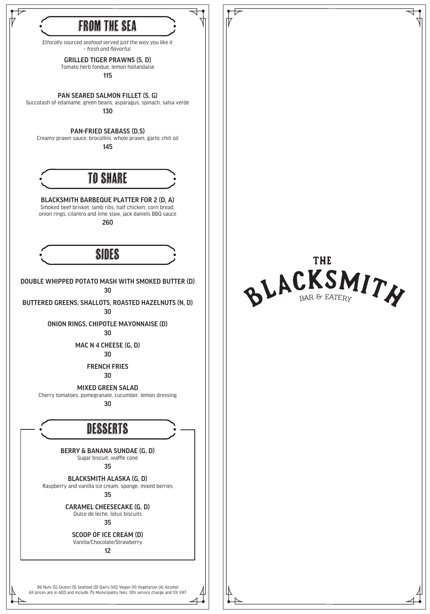

ONION RINGS, CHIPOTLE MAYONNAISE (D) 30

MAC N 4 CHEESE (G, D) 30

FRENCH FRIES

30

MIXED GREEN SALAD Cherry tomatoes, pomegranate, cucumber, lemon dressing 30

**DESSERTS** 

BERRY & BANANA SUNDAE (G, D) Sugar biscuit, waffle cone

35

BLACKSMITH ALASKA (G, D) Raspberry and vanilla ice cream, sponge, mixed berries 35

CARAMEL CHEESECAKE (G, D) Dulce de leche, lotus biscuits

35

SCOOP OF ICE CREAM (D) Vanilla/Chocolate/Strawberry

12

(N) Nuts (G) Gluten (S) Seafood (D) Dairy (VG) Vegan (V) Vegetarian (A) Alcohol All prices are in AED and include 7% Municipality fees, 10% service charge and 5% VAT